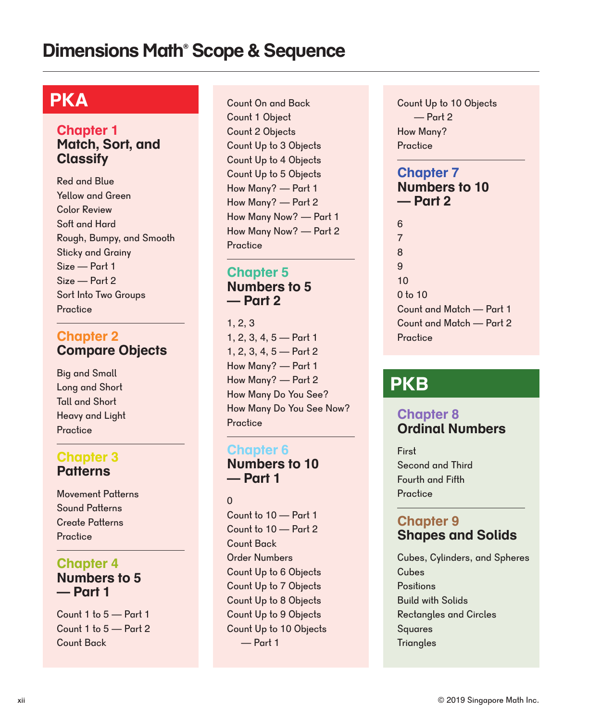# **PKA**

#### **Chapter 1 Match, Sort, and Classify**

Red and Blue Yellow and Green Color Review Soft and Hard Rough, Bumpy, and Smooth Sticky and Grainy Size — Part 1 Size — Part 2 Sort Into Two Groups **Practice** 

#### **Chapter 2 Compare Objects**

Big and Small Long and Short Tall and Short Heavy and Light **Practice** 

#### **Chapter 3 Patterns**

Movement Patterns Sound Patterns Create Patterns Practice

#### **Chapter 4 Numbers to 5 — Part 1**

Count 1 to 5 — Part 1 Count 1 to 5 — Part 2 Count Back

**Practice** Count On and Back Count 1 Object Count 2 Objects Count Up to 3 Objects Count Up to 4 Objects Count Up to 5 Objects How Many? — Part 1 How Many? — Part 2 How Many Now? — Part 1 How Many Now? — Part 2

#### **Chapter 5 Numbers to 5 — Part 2**

1, 2, 3 1, 2, 3, 4, 5 — Part 1 1, 2, 3, 4, 5 — Part 2 How Many? — Part 1 How Many? — Part 2 How Many Do You See? How Many Do You See Now? **Practice** 

#### **Chapter 6**

**Numbers to 10 — Part 1**

0

Count to 10 — Part 1 Count to 10 — Part 2 Count Back Order Numbers Count Up to 6 Objects Count Up to 7 Objects Count Up to 8 Objects Count Up to 9 Objects Count Up to 10 Objects — Part 1

**Practice** Count Up to 10 Objects — Part 2 How Many?

#### **Chapter 7 Numbers to 10 — Part 2**

6 7 8 9 10 0 to 10 Count and Match — Part 1 Count and Match — Part 2 **Practice** 

# **PKB**

#### **Chapter 8 Ordinal Numbers**

Second and Third First Fourth and Fifth **Practice** 

#### **Chapter 9 Shapes and Solids**

Rectangles and Circles Build with Solids Squares **Positions Cubes** Cubes, Cylinders, and Spheres **Triangles**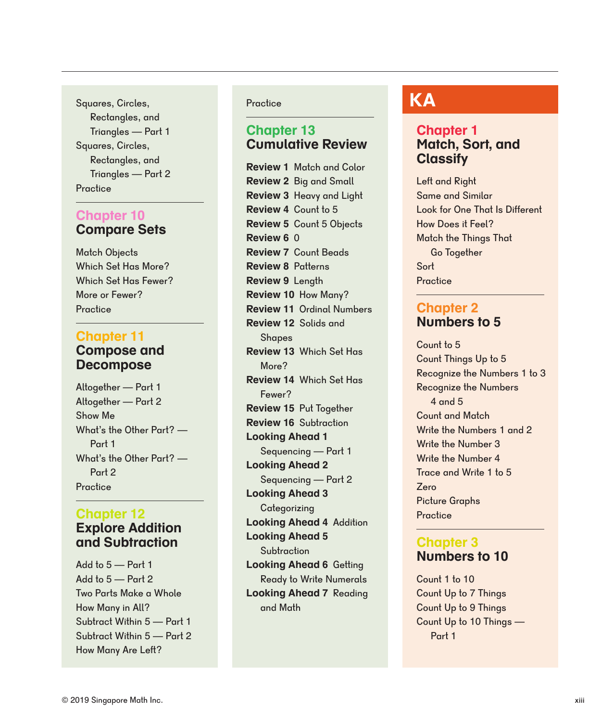**Practice** Squares, Circles, Rectangles, and Triangles — Part 1 Squares, Circles, Rectangles, and Triangles — Part 2

#### **Chapter 10 Compare Sets**

More or Fewer? **Practice** Which Set Has Fewer? Which Set Has More? Match Objects

#### **Chapter 11 Compose and Decompose**

Altogether — Part 2 Show Me What's the Other Part? — Part 1 What's the Other Part? — Part 2 **Practice** Altogether — Part 1

#### **Chapter 12 Explore Addition**

# **and Subtraction**

Add to 5 — Part 2 Subtract Within 5 — Part 1 Add to 5 — Part 1 Two Parts Make a Whole How Many in All? Subtract Within 5 — Part 2 How Many Are Left?

#### **Practice**

#### **Chapter 13 Cumulative Review**

**Review 2** Big and Small **Review 3** Heavy and Ligh t **Review 4** Count to 5 **Review 5** Count 5 Objects **Review 1** Match and Color **Review 6** 0 **Review 7** Count Beads **Looking Ahead 7** Reading and Math **Looking Ahead 6** Getting Ready to Write Numerals **Review 8** Patterns **Review 9** Length **Review 10** How Many? **Review 11** Ordinal Numbers **Review 13** Which Set Has More? **Looking Ahead 1** Sequencing — Part 1 **Review 16** Subtraction **Review 15** Put Together **Looking Ahead 5 Subtraction Looking Ahead 4** Addition **Looking Ahead 3 Categorizing Review 12** Solids and **Shapes Review 14** Which Set Has Fewer? **Looking Ahead 2** Sequencing — Part 2

# **KA**

#### **Chapter 1 Match, Sort, and Classify**

Same and Similar Look for One That Is Different How Does it Feel? Match the Things That Go Together Left and Right Sort **Practice** 

#### **Numbers to 5 Chapter 2**

Count Things Up to 5 Recognize the Numbers 1 to 3 Recognize the Numbers 4 and 5 Count to 5 Count and Match Write the Numbers 1 and 2 Write the Number 3 Write the Number 4 Trace and Write 1 to 5 Zero Picture Graphs **Practice** 

#### **Chapter 3 Numbers to 10**

Count Up to 7 Things Count Up to 9 Things Count Up to 10 Things — Part 1 Count 1 to 10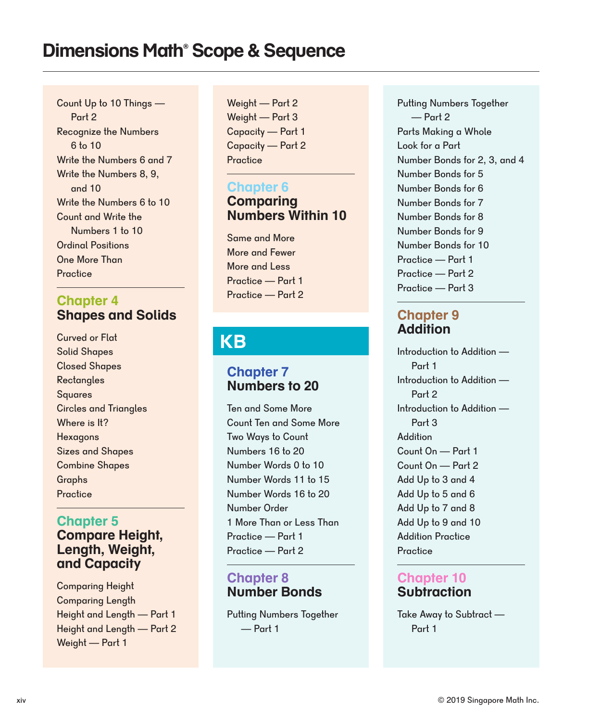Recognize the Numbers 6 to 10 Count Up to 10 Things — Part 2 Write the Numbers 6 and 7 Write the Numbers 6 to 10 Count and Write the Numbers 1 to 10 Ordinal Positions **Practice** One More Than Write the Numbers 8, 9, and 10 **Chapter 6**

### **Chapter 4 Shapes and Solids**

Solid Shapes Closed Shapes **Rectangles** Squares Curved or Flat Circles and Triangles Where is It? **Hexagons** Sizes and Shapes Combine Shapes Graphs **Practice** 

#### **Chapter 5 Compare Height, Length, Weight, and Capacity**

Weight — Part 1 Comparing Length Comparing Height Height and Length — Part 1 Height and Length — Part 2

Weight — Part 2 Weight — Part 3 Capacity — Part 1 Capacity — Part 2 **Practice** 

# **Comparing Numbers Within 10**

More and Fewer More and Less Practice — Part 1 Practice — Part 2 Same and More

# **KB**

#### **Chapter 7 Numbers to 20**

Ten and Some More Count Ten and Some More Two Ways to Count Numbers 16 to 20 Number Words 0 to 10 Number Words 11 to 15 Number Words 16 to 20 Number Order 1 More Than or Less Than Practice — Part 1 Practice — Part 2

### **Number Bonds Chapter 8**

Putting Numbers Together — Part 1

Parts Making a Whole Look for a Part Number Bonds for 2, 3, and 4 Number Bonds for 5 Number Bonds for 6 Number Bonds for 7 Number Bonds for 8 Number Bonds for 9 Number Bonds for 10 Practice — Part 1 Practice — Part 2 Practice — Part 3 Putting Numbers Together — Part 2

#### **Chapter 9 Addition**

Introduction to Addition — Part 1 Introduction to Addition — Part 2 Introduction to Addition — Part 3 **Addition** Count On — Part 1 Count On — Part 2 Add Up to 3 and 4 Add Up to 5 and 6 Add Up to 7 and 8 Add Up to 9 and 10 Addition Practice **Practice** 

### **Chapter 10 Subtraction**

Take Away to Subtract — Part 1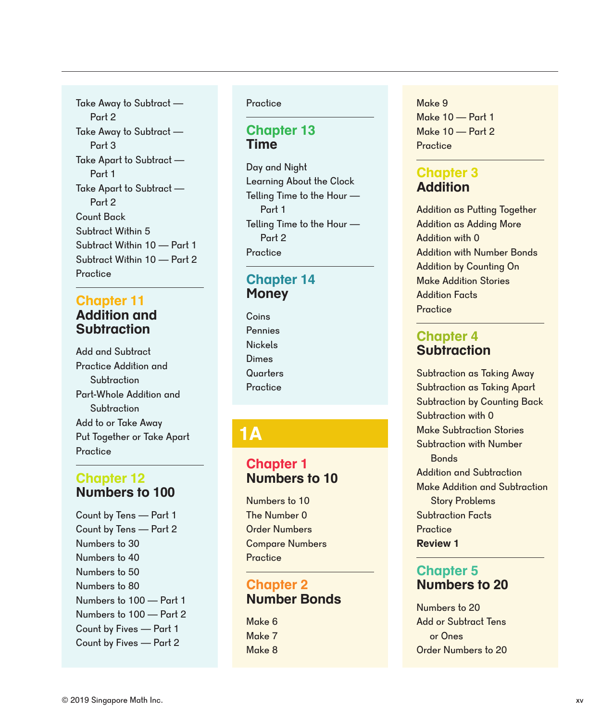Take Away to Subtract — Part 3 Take Apart to Subtract — Part 1 Take Apart to Subtract — Part 2 Count Back Subtract Within 5 Subtract Within 10 — Part 1 Subtract Within 10 — Part 2 **Practice** Take Away to Subtract — Part 2

#### **Addition and Subtraction Chapter 11**

Add and Subtract Practice Addition and **Subtraction** Part-Whole Addition and **Subtraction** Add to or Take Away Put Together or Take Apart **Practice** 

#### **Chapter 12 Numbers to 100**

Count by Tens — Part 1 Count by Tens — Part 2 Numbers to 30 Numbers to 40 Numbers to 50 Numbers to 80 Numbers to 100 — Part 1 Numbers to 100 — Part 2 Count by Fives — Part 1 Count by Fives — Part 2

#### **Practice**

#### **Chapter 13 Time**

Day and Night Learning About the Clock Telling Time to the Hour — Part 1 Telling Time to the Hour — Part 2 **Practice** 

#### **Money Chapter 14**

Coins Pennies Nickels Dimes **Quarters Practice** 

# **1A**

### **Chapter 1 Numbers to 10**

The Number 0 Order Numbers Compare Numbers Numbers to 10 **Practice** 

#### **Chapter 2 Number Bonds**

Make 8 Make 6 Make 7 Make 9 Make 10 — Part 1 Make 10 — Part 2 **Practice** 

### **Chapter 3 Addition**

Addition as Adding More Addition with 0 Addition with Number Bonds Addition by Counting On Addition as Putting Together Make Addition Stories Addition Facts **Practice** 

### **Chapter 4 Subtraction**

Subtraction as Taking Apart Subtraction by Counting Back Subtraction with 0 Make Subtraction Stories Subtraction as Taking Away Subtraction with Number Bonds Addition and Subtraction Make Addition and Subtraction Story Problems Subtraction Facts **Practice Review 1**

### **Chapter 5 Numbers to 20**

Numbers to 20 Add or Subtract Tens or Ones Order Numbers to 20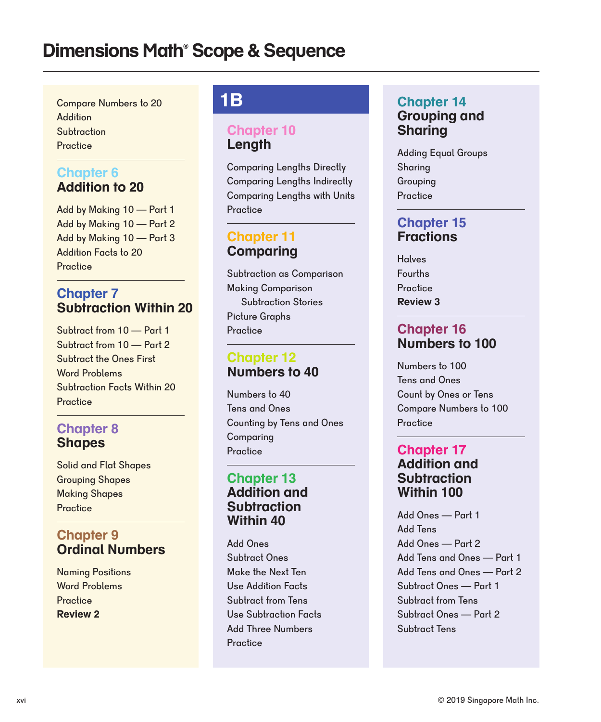**Practice Subtraction Addition** Compare Numbers to 20

### **Chapter 6 Addition to 20**

Add by Making 10 — Part 2 Add by Making 10 — Part 3 Addition Facts to 20 Add by Making 10 — Part 1 **Practice** 

#### **Chapter 7 Subtraction Within 20**

Subtract the Ones First Word Problems Subtract from 10 — Part 1 Subtraction Facts Within 20 Subtract from 10 — Part 2 **Practice** 

### **Chapter 8 Shapes**

Grouping Shapes Making Shapes Solid and Flat Shapes **Practice** 

#### **Chapter 9 Ordinal Numbers**

Word Problems Naming Positions **Practice Review 2**

# **1B**

#### **Chapter 10 Length**

Comparing Lengths Indirectly Comparing Lengths with Units Comparing Lengths Directly **Practice** 

#### **Chapter 11 Comparing**

Making Comparison Subtraction Stories Picture Graphs Subtraction as Comparison **Practice** 

#### **Chapter 12 Numbers to 40**

Tens and Ones Counting by Tens and Ones Comparing Numbers to 40 **Practice** 

#### **Chapter 13 Addition and Subtraction Within 40**

Add Ones Subtract Ones Make the Next Ten Use Addition Facts Subtract from Tens Use Subtraction Facts Add Three Numbers **Practice** 

#### **Chapter 14 Grouping and Sharing**

Sharing Grouping Adding Equal Groups **Practice** 

#### **Chapter 15 Fractions**

Fourths **Halves Practice Review 3**

#### **Chapter 16 Numbers to 100**

Count by Ones or Tens Compare Numbers to 100 Numbers to 100 Tens and Ones **Practice** 

#### **Chapter 17 Addition and Subtraction Within 100**

Add Tens Add Ones — Part 2 Add Ones — Part 1 Add Tens and Ones — Part 2 Subtract Ones — Part 1 Subtract from Tens Subtract Ones — Part 2 Add Tens and Ones — Part 1 Subtract Tens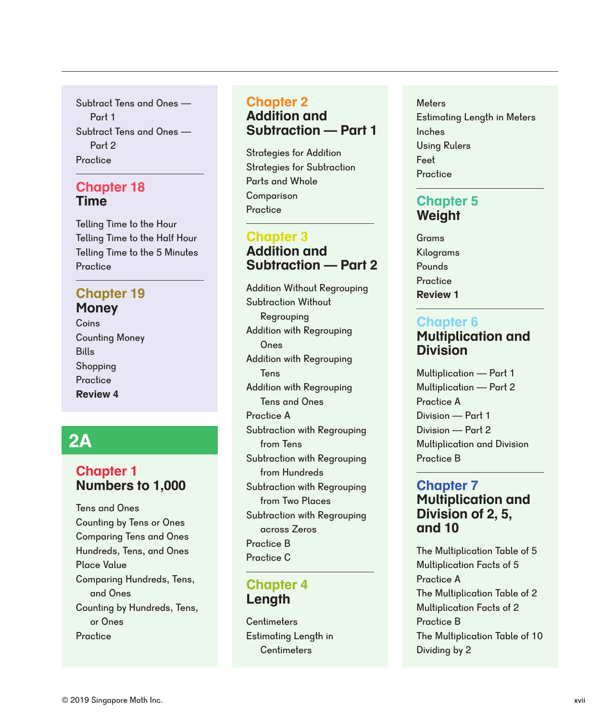Subtract Tens and Ones — Part 2 **Practice** Subtract Tens and Ones — Part 1

#### **Chapter 18 Time**

Telling Time to the Half Hour Telling Time to the 5 Minutes Telling Time to the Hour **Practice** 

## **Chapter 19 Money**

Counting Money Bills **Coins Practice Review 4** Shopping

# **2A**

### **Chapter 1 Numbers to 1,000**

Tens and Ones Counting by Tens or Ones Comparing Tens and Ones Hundreds, Tens, and Ones Place Value Counting by Hundreds, Tens, or Ones Comparing Hundreds, Tens, and Ones **Practice** 

#### **Chapter 2 Addition and Subtraction — Part 1**

**Practice** Strategies for Addition Strategies for Subtraction Parts and Whole Comparison

#### **Chapter 3 Addition and Subtraction — Part 2**

Subtraction with Regrouping from Tens Subtraction with Regrouping across Zeros Addition Without Regrouping Subtraction Without Regrouping Subtraction with Regrouping from Hundreds Addition with Regrouping Ones Practice C Addition with Regrouping Tens Subtraction with Regrouping from Two Places Addition with Regrouping Tens and Ones Practice B Practice A

#### **Chapter 4 Length**

Estimating Length in **Centimeters Centimeters** 

#### **Meters** Estimating Length in Meters Inches Using Rulers Feet **Practice**

### **Chapter 5 Weight**

Grams Kilograms Pounds **Practice Review 1**

### **Chapter 6 Multiplication and Division**

Multiplication — Part 1 Multiplication — Part 2 Practice A Division — Part 1 Division — Part 2 Multiplication and Division Practice B

# **Chapter 7**

#### **Multiplication and Division of 2, 5, and 10**

The Multiplication Table of 5 Multiplication Facts of 5 Practice A The Multiplication Table of 2 Multiplication Facts of 2 The Multiplication Table of 10 Practice B Dividing by 2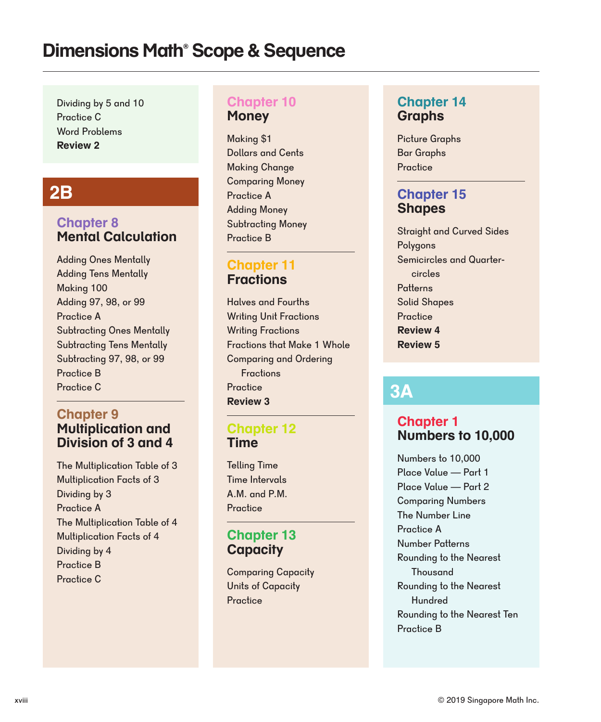Dividing by 5 and 10 Practice C Word Problems **Review 2**

# **2B**

#### **Chapter 8 Mental Calculation**

Practice B Adding Ones Mentally Adding Tens Mentally Making 100 Adding 97, 98, or 99 Practice A Subtracting Ones Mentally Subtracting Tens Mentally Subtracting 97, 98, or 99 Practice C

#### **Chapter 9 Multiplication and Division of 3 and 4**

The Multiplication Table of 3 Multiplication Facts of 3 Dividing by 3 Practice A Practice C Practice B Dividing by 4 The Multiplication Table of 4 Multiplication Facts of 4

#### **Chapter 10 Money**

Making \$1 Dollars and Cents Making Change Practice A Adding Money Subtracting Money Practice B Comparing Money

#### **Chapter 11 Fractions**

Halves and Fourths Writing Unit Fractions **Review 3** Writing Fractions Fractions that Make 1 Whole Comparing and Ordering **Fractions Practice** 

#### **Chapter 12 Time**

Telling Time Time Intervals A.M. and P.M. **Practice** 

#### **Chapter 13 Capacity**

Comparing Capacity Units of Capacity Practice

#### **Chapter 14 Graphs**

Picture Graphs Bar Graphs **Practice** 

### **Chapter 15 Shapes**

Straight and Curved Sides Polygons Semicircles and Quartercircles **Patterns** Solid Shapes **Practice Review 4 Review 5**

# **3A**

### **Chapter 1 Numbers to 10,000**

Numbers to 10,000 Place Value — Part 1 Place Value — Part 2 Comparing Numbers The Number Line Practice A Number Patterns Rounding to the Nearest Thousand Rounding to the Nearest Hundred Rounding to the Nearest Ten Practice B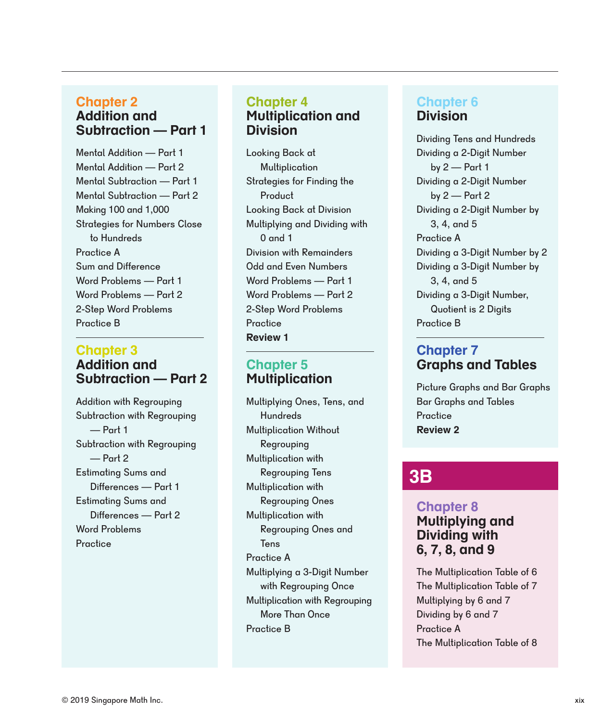#### **Chapter 2 Addition and Subtraction — Part 1**

Practice A Mental Addition — Part 1 Mental Addition — Part 2 Mental Subtraction — Part 1 Mental Subtraction — Part 2 Making 100 and 1,000 Strategies for Numbers Close to Hundreds Sum and Difference Word Problems — Part 1 Word Problems — Part 2 2-Step Word Problems Practice B

#### **Chapter 3 Addition and Subtraction — Part 2**

Subtraction with Regrouping — Part 1 Addition with Regrouping Subtraction with Regrouping — Part 2 Estimating Sums and Differences — Part 1 Estimating Sums and Differences — Part 2 Word Problems **Practice** 

#### **Chapter 4 Multiplication and Division**

Looking Back at Multiplication Strategies for Finding the **Product Practice** Looking Back at Division Word Problems — Part 1 Word Problems — Part 2 Division with Remainders Odd and Even Numbers 2-Step Word Problems Multiplying and Dividing with 0 and 1 **Review 1**

#### **Chapter 5 Multiplication**

Multiplication with Regrouping More Than Once Multiplying Ones, Tens, and **Hundreds** Multiplication with Regrouping Tens Multiplication Without Regrouping Multiplication with Regrouping Ones and **Tens** Practice A Multiplying a 3-Digit Number with Regrouping Once Practice B Multiplication with Regrouping Ones

## **Chapter 6 Division**

Practice A Dividing Tens and Hundreds Dividing a 2-Digit Number by  $2$  – Part 1 Dividing a 3-Digit Number by 2 Dividing a 3-Digit Number, Quotient is 2 Digits Dividing a 3-Digit Number by 3, 4, and 5 Dividing a 2-Digit Number by 3, 4, and 5 Practice B Dividing a 2-Digit Number by  $2$  — Part  $2$ 

#### **Chapter 7 Graphs and Tables**

Picture Graphs and Bar Graphs Bar Graphs and Tables **Practice Review 2**

# **3B**

### **Chapter 8 Multiplying and Dividing with 6, 7, 8, and 9**

The Multiplication Table of 6 The Multiplication Table of 7 Multiplying by 6 and 7 Dividing by 6 and 7 Practice A The Multiplication Table of 8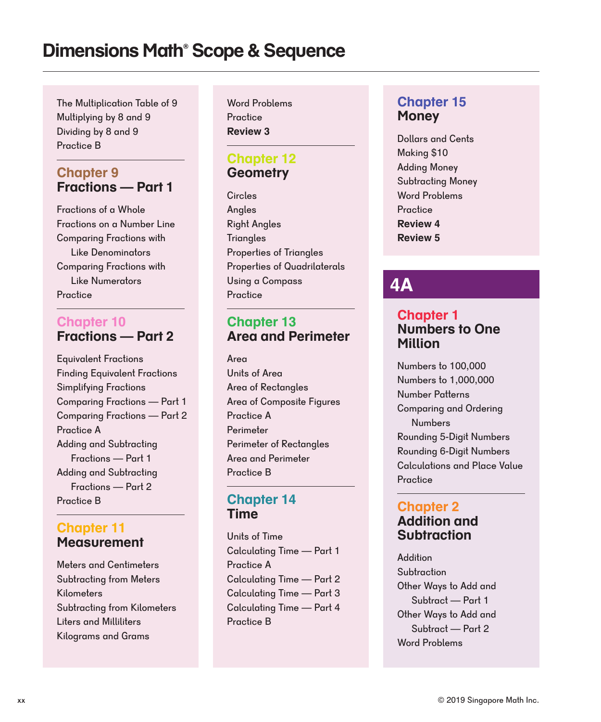The Multiplication Table of 9 Multiplying by 8 and 9 Dividing by 8 and 9 Practice B

#### **Chapter 9 Fractions — Part 1**

Fractions of a Whole Fractions on a Number Line Comparing Fractions with Like Denominators Comparing Fractions with Like Numerators Practice

#### **Chapter 10 Fractions — Part 2**

Equivalent Fractions Finding Equivalent Fractions Simplifying Fractions Comparing Fractions — Part 1 Comparing Fractions — Part 2 Practice A Adding and Subtracting Fractions — Part 1 Adding and Subtracting Fractions — Part 2 Practice B

#### **Chapter 11 Measurement**

Meters and Centimeters Subtracting from Meters Liters and Milliliters Kilograms and Grams **Kilometers** Subtracting from Kilometers

Word Problems **Practice Review 3**

### **Chapter 12 Geometry**

Circles Angles Right Angles **Triangles** Properties of Triangles Properties of Quadrilaterals **Practice** Using a Compass **4A**

### **Chapter 13 Area and Perimeter**

Area Units of Area Area of Rectangles Area and Perimeter Area of Composite Figures Practice A Perimeter Perimeter of Rectangles Practice B

#### **Chapter 14 Time**

Units of Time Calculating Time — Part 1 Calculating Time — Part 2 Practice B Practice A Calculating Time — Part 4 Calculating Time — Part 3

### **Chapter 15 Money**

Dollars and Cents Making \$10 Adding Money Subtracting Money Word Problems **Practice Review 5 Review 4**

#### **Chapter 1 Numbers to One Million**

Numbers to 100,000 Numbers to 1,000,000 Number Patterns Comparing and Ordering Numbers Rounding 5-Digit Numbers Rounding 6-Digit Numbers Calculations and Place Value **Practice** 

#### **Chapter 2 Addition and Subtraction**

Addition **Subtraction** Word Problems Other Ways to Add and Subtract — Part 1 Other Ways to Add and Subtract — Part 2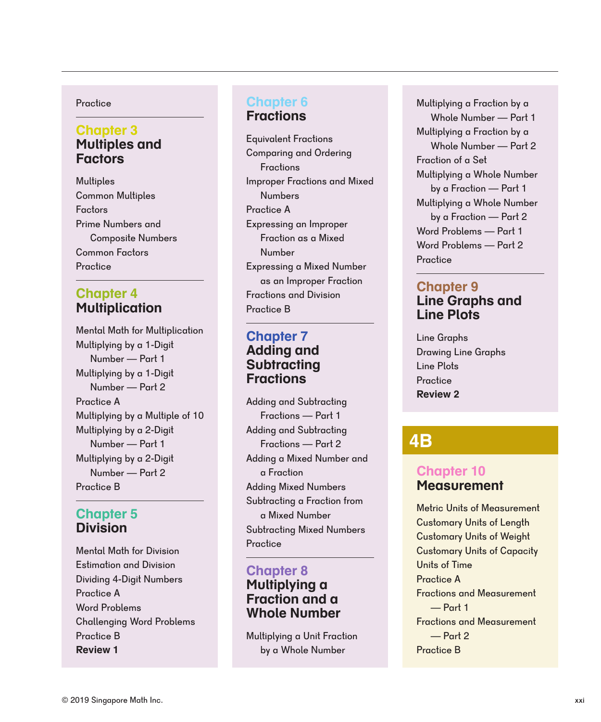#### **Practice**

#### **Chapter 3 Multiples and Factors**

**Multiples** Common Multiples Common Factors **Practice** Factors Prime Numbers and Composite Numbers

#### **Chapter 4 Multiplication**

Mental Math for Multiplication Practice A Practice B Multiplying by a Multiple of 10 Multiplying by a 1-Digit Number — Part 1 Multiplying by a 1-Digit Number — Part 2 Multiplying by a 2-Digit Number — Part 1 Multiplying by a 2-Digit Number — Part 2

#### **Chapter 5 Division**

| <b>Review 1</b>                  |
|----------------------------------|
| <b>Practice B</b>                |
| <b>Challenging Word Problems</b> |
| <b>Word Problems</b>             |
| Practice A                       |
| <b>Dividing 4-Digit Numbers</b>  |
| <b>Estimation and Division</b>   |
| <b>Mental Math for Division</b>  |

### **Chapter 6**

**Fractions**

Equivalent Fractions Comparing and Ordering Fractions Improper Fractions and Mixed Numbers Expressing an Improper Fraction as a Mixed **Number** Expressing a Mixed Number as an Improper Fraction Practice A Fractions and Division Practice B

#### **Chapter 7 Adding and Subtracting Fractions**

Adding Mixed Numbers Adding and Subtracting Fractions — Part 1 Adding and Subtracting Fractions — Part 2 Adding a Mixed Number and a Fraction Subtracting a Fraction from a Mixed Number Subtracting Mixed Numbers **Practice** 

#### **Chapter 8**

#### **Multiplying a Fraction and a Whole Number**

Multiplying a Unit Fraction by a Whole Number

Fraction of a Set Word Problems — Part 1 Word Problems — Part 2 **Practice** Multiplying a Fraction by a Whole Number — Part 1 Multiplying a Fraction by a Whole Number — Part 2 Multiplying a Whole Number by a Fraction — Part 1 Multiplying a Whole Number by a Fraction — Part 2

#### **Chapter 9 Line Graphs and Line Plots**

Line Graphs Drawing Line Graphs Line Plots **Practice Review 2**

# **4B**

#### **Chapter 10 Measurement**

Metric Units of Measurement Customary Units of Weight Customary Units of Length Customary Units of Capacity Units of Time Practice A Practice B Fractions and Measurement  $\rightharpoonup$  Part 1 Fractions and Measurement — Part 2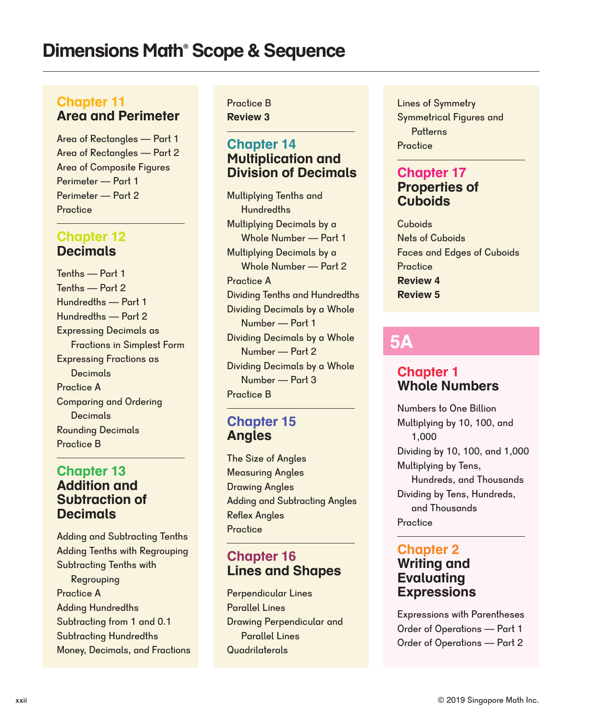#### **Chapter 11 Area and Perimeter**

Area of Rectangles — Part 1 Area of Rectangles — Part 2 Area of Composite Figures Perimeter — Part 1 Perimeter — Part 2 **Practice** 

#### **Chapter 12 Decimals**

Tenths — Part 1 Tenths — Part 2 Practice A Rounding Decimals Practice B Comparing and Ordering **Decimals** Hundredths — Part 1 Hundredths — Part 2 Expressing Decimals as Fractions in Simplest Form Expressing Fractions as Decimals

#### **Chapter 13 Addition and Subtraction of Decimals**

Practice A Adding Hundredths Subtracting from 1 and 0.1 Money, Decimals, and Fractions Subtracting Hundredths Subtracting Tenths with Regrouping Adding and Subtracting Tenths Adding Tenths with Regrouping

Practice B **Review 3**

### **Chapter 14 Multiplication and Division of Decimals**

Multiplying Tenths and **Hundredths** Multiplying Decimals by a Whole Number — Part 1 Multiplying Decimals by a Whole Number — Part 2 Dividing Decimals by a Whole Number — Part 1 Dividing Decimals by a Whole Number — Part 2 Dividing Decimals by a Whole Number — Part 3 Practice A Practice B Dividing Tenths and Hundredths

#### **Chapter 15 Angles**

The Size of Angles Measuring Angles Drawing Angles Adding and Subtracting Angles **Practice** Reflex Angles

### **Chapter 16 Lines and Shapes**

**Quadrilaterals** Perpendicular Lines Parallel Lines Drawing Perpendicular and Parallel Lines

Lines of Symmetry Symmetrical Figures and **Patterns Practice** 

### **Chapter 17 Properties of Cuboids**

**Cuboids** Nets of Cuboids Faces and Edges of Cuboids **Practice Review 4 Review 5**

# **5A**

#### **Chapter 1 Whole Numbers**

Numbers to One Billion Multiplying by 10, 100, and 1,000 Dividing by 10, 100, and 1,000 Multiplying by Tens, Hundreds, and Thousands **Practice** Dividing by Tens, Hundreds, and Thousands

#### **Chapter 2 Writing and Evaluating Expressions**

Expressions with Parentheses Order of Operations — Part 1 Order of Operations — Part 2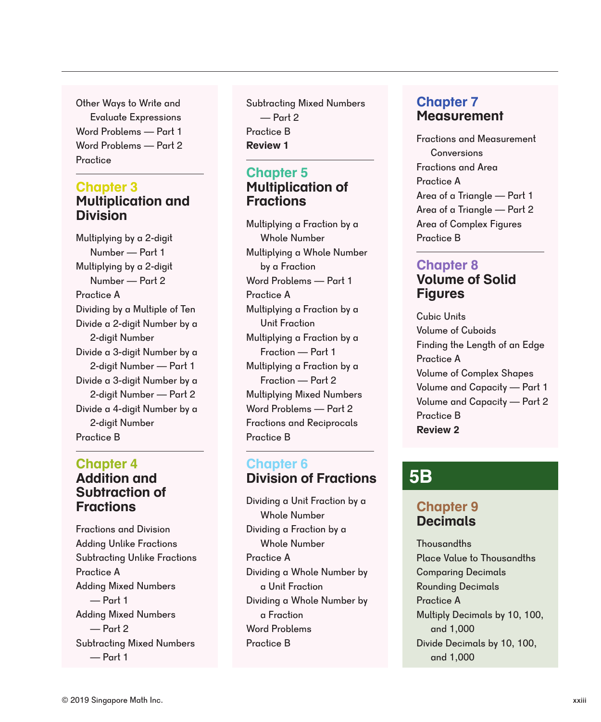Other Ways to Write and Evaluate Expressions Word Problems — Part 1 Word Problems — Part 2 **Practice** 

#### **Multiplication and Division Chapter 3**

Multiplying by a 2-digit Number — Part 1 Multiplying by a 2-digit Number — Part 2 Practice A Practice B Divide a 4-digit Number by a 2-digit Number Dividing by a Multiple of Ten Divide a 2-digit Number by a 2-digit Number Divide a 3-digit Number by a 2-digit Number — Part 1 Divide a 3-digit Number by a 2-digit Number — Part 2

#### **Chapter 4 Addition and Subtraction of Fractions**

Fractions and Division Adding Unlike Fractions Subtracting Unlike Fractions Practice A Adding Mixed Numbers — Part 1 Adding Mixed Numbers — Part 2 Subtracting Mixed Numbers — Part 1

Practice B<br>Fractions and Measurement Subtracting Mixed Numbers — Part 2 **Review 1**

### **Chapter 5 Multiplication of Fractions**

Word Problems — Part 1 Word Problems — Part 2 Fractions and Reciprocals Multiplying a Fraction by a Unit Fraction Multiplying a Fraction by a Fraction — Part 1 Multiplying a Fraction by a Fraction — Part 2 Practice A Practice B Multiplying Mixed Numbers Multiplying a Fraction by a Whole Number Multiplying a Whole Number by a Fraction

### **Chapter 6 Division of Fractions**

Word Problems Practice A Practice B Dividing a Whole Number by a Fraction Dividing a Unit Fraction by a Whole Number Dividing a Whole Number by a Unit Fraction Dividing a Fraction by a Whole Number

### **Chapter 7 Measurement**

Conversions Fractions and Area Practice A Area of a Triangle — Part 1 Area of a Triangle — Part 2 Area of Complex Figures Practice B

### **Chapter 8 Volume of Solid Figures**

Cubic Units Volume of Cuboids Finding the Length of an Edge Practice A Practice B Volume of Complex Shapes Volume and Capacity — Part 1 Volume and Capacity — Part 2 **Review 2**

# **5B**

### **Chapter 9 Decimals**

**Thousandths** Place Value to Thousandths Comparing Decimals Rounding Decimals Practice A Multiply Decimals by 10, 100, and 1,000 Divide Decimals by 10, 100, and 1,000